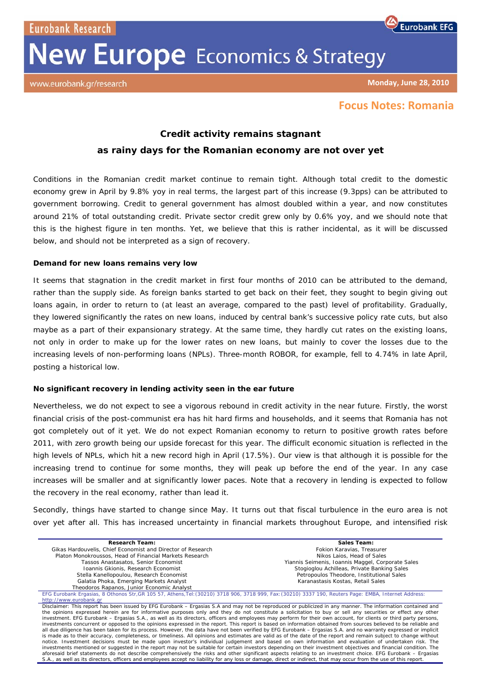Eurobank Research

# **New Europe** Economics & Strategy



**Monday, June 28, 2010**

# **Focus Notes: Romania**

# **Credit activity remains stagnant**

## **as rainy days for the Romanian economy are not over yet**

Conditions in the Romanian credit market continue to remain tight. Although total credit to the domestic economy grew in April by 9.8% yoy in real terms, the largest part of this increase (9.3pps) can be attributed to government borrowing. Credit to general government has almost doubled within a year, and now constitutes around 21% of total outstanding credit. Private sector credit grew only by 0.6% yoy, and we should note that this is the highest figure in ten months. Yet, we believe that this is rather incidental, as it will be discussed below, and should not be interpreted as a sign of recovery.

#### **Demand for new loans remains very low**

It seems that stagnation in the credit market in first four months of 2010 can be attributed to the demand, rather than the supply side. As foreign banks started to get back on their feet, they sought to begin giving out loans again, in order to return to (at least an average, compared to the past) level of profitability. Gradually, they lowered significantly the rates on new loans, induced by central bank's successive policy rate cuts, but also maybe as a part of their expansionary strategy. At the same time, they hardly cut rates on the existing loans, not only in order to make up for the lower rates on new loans, but mainly to cover the losses due to the increasing levels of non-performing loans (NPLs). Three-month ROBOR, for example, fell to 4.74% in late April, posting a historical low.

### **No significant recovery in lending activity seen in the ear future**

Nevertheless, we do not expect to see a vigorous rebound in credit activity in the near future. Firstly, the worst financial crisis of the post-communist era has hit hard firms and households, and it seems that Romania has not got completely out of it yet. We do not expect Romanian economy to return to positive growth rates before 2011, with zero growth being our upside forecast for this year. The difficult economic situation is reflected in the high levels of NPLs, which hit a new record high in April (17.5%). Our view is that although it is possible for the increasing trend to continue for some months, they will peak up before the end of the year. In any case increases will be smaller and at significantly lower paces. Note that a recovery in lending is expected to follow the recovery in the real economy, rather than lead it.

Secondly, things have started to change since May. It turns out that fiscal turbulence in the euro area is not over yet after all. This has increased uncertainty in financial markets throughout Europe, and intensified risk

| <b>Research Team:</b>                                                                                                                                              | Sales Team:                                       |
|--------------------------------------------------------------------------------------------------------------------------------------------------------------------|---------------------------------------------------|
| Gikas Hardouvelis, Chief Economist and Director of Research                                                                                                        | Fokion Karavias, Treasurer                        |
| Platon Monokroussos, Head of Financial Markets Research                                                                                                            | Nikos Laios, Head of Sales                        |
| Tassos Anastasatos, Senior Economist                                                                                                                               | Yiannis Seimenis, Ioannis Maggel, Corporate Sales |
| Ioannis Gkionis, Research Economist                                                                                                                                | Stogioglou Achilleas, Private Banking Sales       |
| Stella Kanellopoulou, Research Economist                                                                                                                           | Petropoulos Theodore, Institutional Sales         |
| Galatia Phoka, Emerging Markets Analyst                                                                                                                            | Karanastasis Kostas, Retail Sales                 |
| Theodoros Rapanos, Junior Economic Analyst                                                                                                                         |                                                   |
| EFG Eurobank Ergasias, 8 Othonos Str, GR 105 57, Athens, Tel: (30210) 3718 906, 3718 999, Fax: (30210) 3337 190, Reuters Page: EMBA, Internet Address:             |                                                   |
| http://www.eurobank.gr                                                                                                                                             |                                                   |
| Disclaimer: This report has been issued by EFG Eurobank – Ergasias S.A and may not be reproduced or publicized in any manner. The information contained and        |                                                   |
| the opinions expressed herein are for informative purposes only and they do not constitute a solicitation to buy or sell any securities or effect any other        |                                                   |
| investment. EFG Eurobank – Ergasias S.A., as well as its directors, officers and employees may perform for their own account, for clients or third party persons,  |                                                   |
| investments concurrent or opposed to the opinions expressed in the report. This report is based on information obtained from sources believed to be reliable and   |                                                   |
| all due diligence has been taken for its process. However, the data have not been verified by EFG Eurobank – Ergasias S.A. and no warranty expressed or implicit   |                                                   |
| is made as to their accuracy, completeness, or timeliness. All opinions and estimates are valid as of the date of the report and remain subject to change without  |                                                   |
| notice. Investment decisions must be made upon investor's individual judgement and based on own information and evaluation of undertaken risk. The                 |                                                   |
| investments mentioned or suggested in the report may not be suitable for certain investors depending on their investment objectives and financial condition. The   |                                                   |
| aforesaid brief statements do not describe comprehensively the risks and other significant aspects relating to an investment choice. EFG Eurobank - Ergasias       |                                                   |
| S.A., as well as its directors, officers and employees accept no liability for any loss or damage, direct or indirect, that may occur from the use of this report. |                                                   |